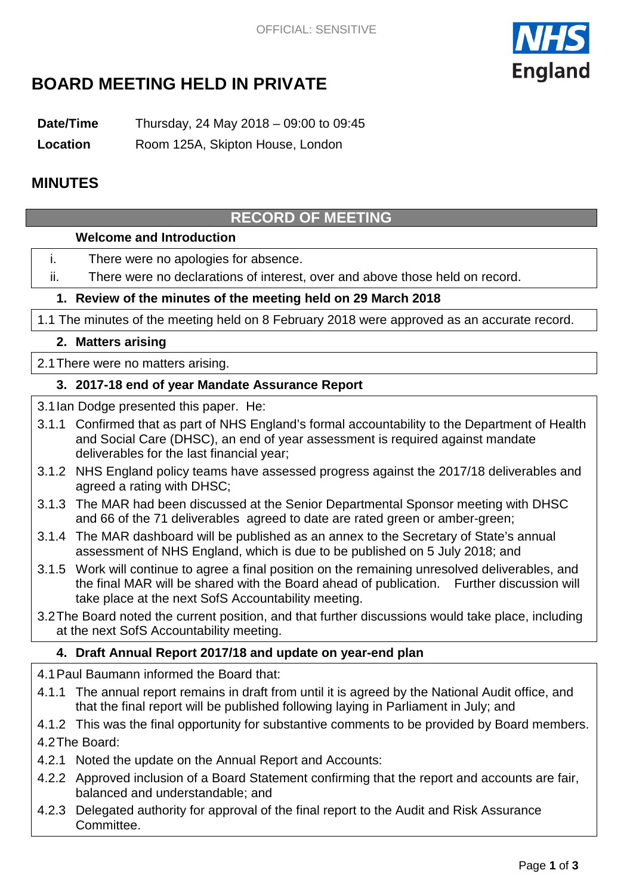

# **BOARD MEETING HELD IN PRIVATE**

**Date/Time** Thursday, 24 May 2018 – 09:00 to 09:45

**Location** Room 125A, Skipton House, London

## **MINUTES**

# **RECORD OF MEETING**

#### **Welcome and Introduction**

- i. There were no apologies for absence.
- ii. There were no declarations of interest, over and above those held on record.

#### **1. Review of the minutes of the meeting held on 29 March 2018**

1.1 The minutes of the meeting held on 8 February 2018 were approved as an accurate record.

#### **2. Matters arising**

2.1There were no matters arising.

#### **3. 2017-18 end of year Mandate Assurance Report**

- 3.1Ian Dodge presented this paper. He:
- 3.1.1 Confirmed that as part of NHS England's formal accountability to the Department of Health and Social Care (DHSC), an end of year assessment is required against mandate deliverables for the last financial year;
- 3.1.2 NHS England policy teams have assessed progress against the 2017/18 deliverables and agreed a rating with DHSC;
- 3.1.3 The MAR had been discussed at the Senior Departmental Sponsor meeting with DHSC and 66 of the 71 deliverables agreed to date are rated green or amber-green;
- 3.1.4 The MAR dashboard will be published as an annex to the Secretary of State's annual assessment of NHS England, which is due to be published on 5 July 2018; and
- 3.1.5 Work will continue to agree a final position on the remaining unresolved deliverables, and the final MAR will be shared with the Board ahead of publication. Further discussion will take place at the next SofS Accountability meeting.
- 3.2The Board noted the current position, and that further discussions would take place, including at the next SofS Accountability meeting.

### **4. Draft Annual Report 2017/18 and update on year-end plan**

- 4.1Paul Baumann informed the Board that:
- 4.1.1 The annual report remains in draft from until it is agreed by the National Audit office, and that the final report will be published following laying in Parliament in July; and
- 4.1.2 This was the final opportunity for substantive comments to be provided by Board members. 4.2The Board:
- 4.2.1 Noted the update on the Annual Report and Accounts:
- 4.2.2 Approved inclusion of a Board Statement confirming that the report and accounts are fair, balanced and understandable; and
- 4.2.3 Delegated authority for approval of the final report to the Audit and Risk Assurance Committee.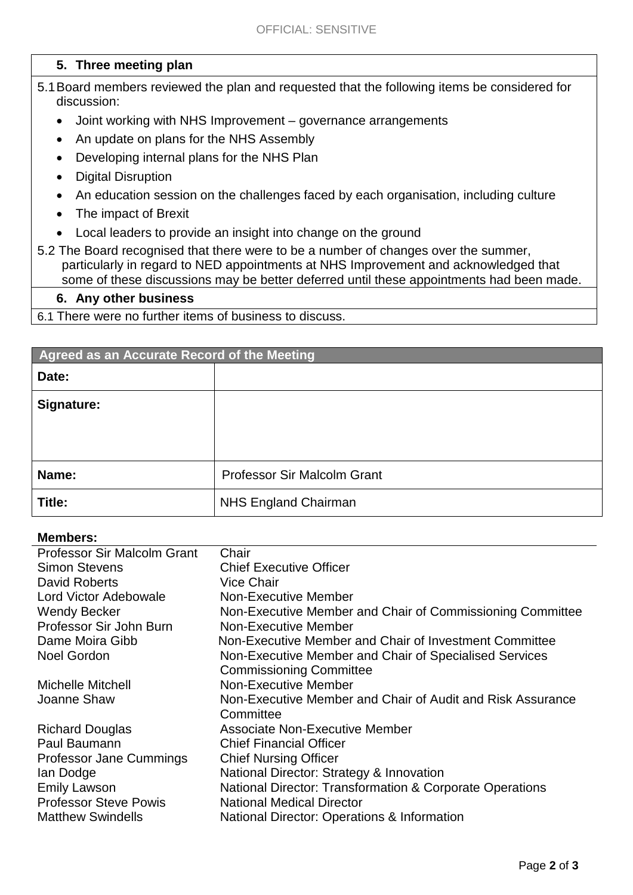### **5. Three meeting plan**

- 5.1Board members reviewed the plan and requested that the following items be considered for discussion:
	- Joint working with NHS Improvement governance arrangements
	- An update on plans for the NHS Assembly
	- Developing internal plans for the NHS Plan
	- Digital Disruption
	- An education session on the challenges faced by each organisation, including culture
	- The impact of Brexit
	- Local leaders to provide an insight into change on the ground
- 5.2 The Board recognised that there were to be a number of changes over the summer, particularly in regard to NED appointments at NHS Improvement and acknowledged that some of these discussions may be better deferred until these appointments had been made.

#### **6. Any other business**

6.1 There were no further items of business to discuss.

| Agreed as an Accurate Record of the Meeting |                                    |
|---------------------------------------------|------------------------------------|
| Date:                                       |                                    |
| Signature:                                  |                                    |
|                                             |                                    |
|                                             |                                    |
| Name:                                       | <b>Professor Sir Malcolm Grant</b> |
| Title:                                      | <b>NHS England Chairman</b>        |

#### **Members:**

| <b>Professor Sir Malcolm Grant</b> | Chair                                                      |
|------------------------------------|------------------------------------------------------------|
| <b>Simon Stevens</b>               | <b>Chief Executive Officer</b>                             |
| David Roberts                      | <b>Vice Chair</b>                                          |
| Lord Victor Adebowale              | Non-Executive Member                                       |
| <b>Wendy Becker</b>                | Non-Executive Member and Chair of Commissioning Committee  |
| Professor Sir John Burn            | Non-Executive Member                                       |
| Dame Moira Gibb                    | Non-Executive Member and Chair of Investment Committee     |
| <b>Noel Gordon</b>                 | Non-Executive Member and Chair of Specialised Services     |
|                                    | <b>Commissioning Committee</b>                             |
| <b>Michelle Mitchell</b>           | Non-Executive Member                                       |
| Joanne Shaw                        | Non-Executive Member and Chair of Audit and Risk Assurance |
|                                    | Committee                                                  |
| <b>Richard Douglas</b>             | <b>Associate Non-Executive Member</b>                      |
| Paul Baumann                       | <b>Chief Financial Officer</b>                             |
| Professor Jane Cummings            | <b>Chief Nursing Officer</b>                               |
| lan Dodge                          | National Director: Strategy & Innovation                   |
| <b>Emily Lawson</b>                | National Director: Transformation & Corporate Operations   |
| <b>Professor Steve Powis</b>       | <b>National Medical Director</b>                           |
| <b>Matthew Swindells</b>           | <b>National Director: Operations &amp; Information</b>     |
|                                    |                                                            |